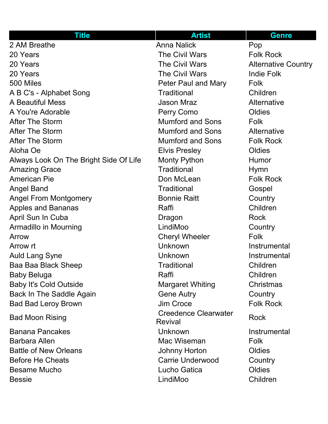| <b>Title</b>                           | <b>Artist</b>                          | <b>Genre</b>               |
|----------------------------------------|----------------------------------------|----------------------------|
| 2 AM Breathe                           | <b>Anna Nalick</b>                     | Pop                        |
| 20 Years                               | <b>The Civil Wars</b>                  | <b>Folk Rock</b>           |
| 20 Years                               | <b>The Civil Wars</b>                  | <b>Alternative Country</b> |
| 20 Years                               | The Civil Wars                         | <b>Indie Folk</b>          |
| 500 Miles                              | Peter Paul and Mary                    | Folk                       |
| A B C's - Alphabet Song                | <b>Traditional</b>                     | Children                   |
| <b>A Beautiful Mess</b>                | <b>Jason Mraz</b>                      | Alternative                |
| A You're Adorable                      | Perry Como                             | Oldies                     |
| <b>After The Storm</b>                 | <b>Mumford and Sons</b>                | Folk                       |
| <b>After The Storm</b>                 | <b>Mumford and Sons</b>                | Alternative                |
| <b>After The Storm</b>                 | <b>Mumford and Sons</b>                | <b>Folk Rock</b>           |
| Aloha Oe                               | <b>Elvis Presley</b>                   | Oldies                     |
| Always Look On The Bright Side Of Life | <b>Monty Python</b>                    | <b>Humor</b>               |
| <b>Amazing Grace</b>                   | <b>Traditional</b>                     | <b>Hymn</b>                |
| <b>American Pie</b>                    | Don McLean                             | <b>Folk Rock</b>           |
| <b>Angel Band</b>                      | <b>Traditional</b>                     | Gospel                     |
| <b>Angel From Montgomery</b>           | <b>Bonnie Raitt</b>                    | Country                    |
| <b>Apples and Bananas</b>              | Raffi                                  | Children                   |
| April Sun In Cuba                      | Dragon                                 | <b>Rock</b>                |
| <b>Armadillo in Mourning</b>           | LindiMoo                               | Country                    |
| Arrow                                  | <b>Cheryl Wheeler</b>                  | Folk                       |
| Arrow rt                               | Unknown                                | Instrumental               |
| <b>Auld Lang Syne</b>                  | Unknown                                | Instrumental               |
| Baa Baa Black Sheep                    | <b>Traditional</b>                     | Children                   |
| Baby Beluga                            | Raffi                                  | Children                   |
| <b>Baby It's Cold Outside</b>          | <b>Margaret Whiting</b>                | Christmas                  |
| Back In The Saddle Again               | <b>Gene Autry</b>                      | Country                    |
| <b>Bad Bad Leroy Brown</b>             | <b>Jim Croce</b>                       | <b>Folk Rock</b>           |
| <b>Bad Moon Rising</b>                 | <b>Creedence Clearwater</b><br>Revival | <b>Rock</b>                |
| <b>Banana Pancakes</b>                 | <b>Unknown</b>                         | Instrumental               |
| Barbara Allen                          | Mac Wiseman                            | <b>Folk</b>                |
| <b>Battle of New Orleans</b>           | Johnny Horton                          | Oldies                     |
| <b>Before He Cheats</b>                | <b>Carrie Underwood</b>                | Country                    |
| <b>Besame Mucho</b>                    | Lucho Gatica                           | Oldies                     |
| <b>Bessie</b>                          | LindiMoo                               | Children                   |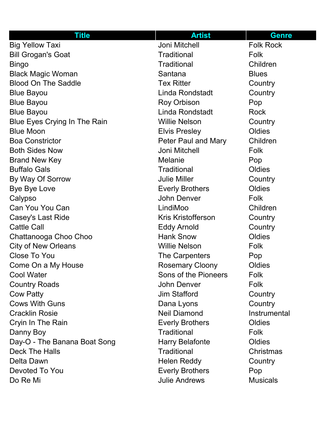| <b>Title</b>                        | <b>Artist</b>             | <b>Genre</b>     |
|-------------------------------------|---------------------------|------------------|
| <b>Big Yellow Taxi</b>              | Joni Mitchell             | <b>Folk Rock</b> |
| <b>Bill Grogan's Goat</b>           | <b>Traditional</b>        | Folk             |
| <b>Bingo</b>                        | <b>Traditional</b>        | Children         |
| <b>Black Magic Woman</b>            | Santana                   | <b>Blues</b>     |
| <b>Blood On The Saddle</b>          | <b>Tex Ritter</b>         | Country          |
| <b>Blue Bayou</b>                   | Linda Rondstadt           | Country          |
| <b>Blue Bayou</b>                   | Roy Orbison               | Pop              |
| <b>Blue Bayou</b>                   | Linda Rondstadt           | <b>Rock</b>      |
| <b>Blue Eyes Crying In The Rain</b> | <b>Willie Nelson</b>      | Country          |
| <b>Blue Moon</b>                    | <b>Elvis Presley</b>      | Oldies           |
| <b>Boa Constrictor</b>              | Peter Paul and Mary       | Children         |
| <b>Both Sides Now</b>               | Joni Mitchell             | Folk             |
| <b>Brand New Key</b>                | Melanie                   | Pop              |
| <b>Buffalo Gals</b>                 | <b>Traditional</b>        | Oldies           |
| By Way Of Sorrow                    | <b>Julie Miller</b>       | Country          |
| <b>Bye Bye Love</b>                 | <b>Everly Brothers</b>    | Oldies           |
| Calypso                             | John Denver               | Folk             |
| Can You You Can                     | LindiMoo                  | Children         |
| Casey's Last Ride                   | <b>Kris Kristofferson</b> | Country          |
| <b>Cattle Call</b>                  | <b>Eddy Arnold</b>        | Country          |
| Chattanooga Choo Choo               | <b>Hank Snow</b>          | Oldies           |
| <b>City of New Orleans</b>          | <b>Willie Nelson</b>      | <b>Folk</b>      |
| <b>Close To You</b>                 | The Carpenters            | Pop              |
| Come On a My House                  | <b>Rosemary Cloony</b>    | Oldies           |
| <b>Cool Water</b>                   | Sons of the Pioneers      | Folk             |
| <b>Country Roads</b>                | John Denver               | Folk             |
| <b>Cow Patty</b>                    | <b>Jim Stafford</b>       | Country          |
| <b>Cows With Guns</b>               | Dana Lyons                | Country          |
| <b>Cracklin Rosie</b>               | <b>Neil Diamond</b>       | Instrumental     |
| Cryin In The Rain                   | <b>Everly Brothers</b>    | Oldies           |
| Danny Boy                           | <b>Traditional</b>        | Folk             |
| Day-O - The Banana Boat Song        | <b>Harry Belafonte</b>    | Oldies           |
| <b>Deck The Halls</b>               | <b>Traditional</b>        | Christmas        |
| Delta Dawn                          | <b>Helen Reddy</b>        | Country          |
| Devoted To You                      | <b>Everly Brothers</b>    | Pop              |
| Do Re Mi                            | <b>Julie Andrews</b>      | <b>Musicals</b>  |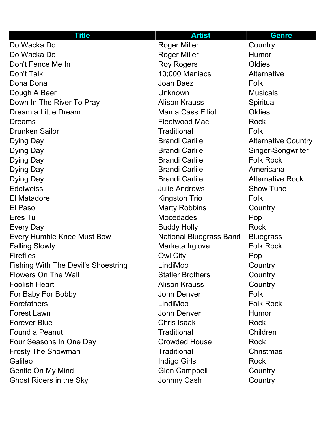| <b>Title</b>                               | <b>Artist</b>                  | <b>Genre</b>               |
|--------------------------------------------|--------------------------------|----------------------------|
| Do Wacka Do                                | <b>Roger Miller</b>            | Country                    |
| Do Wacka Do                                | <b>Roger Miller</b>            | Humor                      |
| Don't Fence Me In                          | <b>Roy Rogers</b>              | Oldies                     |
| Don't Talk                                 | 10;000 Maniacs                 | Alternative                |
| Dona Dona                                  | Joan Baez                      | Folk                       |
| Dough A Beer                               | Unknown                        | <b>Musicals</b>            |
| Down In The River To Pray                  | <b>Alison Krauss</b>           | Spiritual                  |
| Dream a Little Dream                       | <b>Mama Cass Elliot</b>        | Oldies                     |
| Dreams                                     | <b>Fleetwood Mac</b>           | <b>Rock</b>                |
| <b>Drunken Sailor</b>                      | <b>Traditional</b>             | Folk                       |
| Dying Day                                  | <b>Brandi Carlile</b>          | <b>Alternative Country</b> |
| Dying Day                                  | <b>Brandi Carlile</b>          | Singer-Songwriter          |
| Dying Day                                  | <b>Brandi Carlile</b>          | <b>Folk Rock</b>           |
| Dying Day                                  | <b>Brandi Carlile</b>          | Americana                  |
| Dying Day                                  | <b>Brandi Carlile</b>          | <b>Alternative Rock</b>    |
| <b>Edelweiss</b>                           | <b>Julie Andrews</b>           | <b>Show Tune</b>           |
| <b>El Matadore</b>                         | <b>Kingston Trio</b>           | Folk                       |
| El Paso                                    | <b>Marty Robbins</b>           | Country                    |
| Eres Tu                                    | <b>Mocedades</b>               | Pop                        |
| Every Day                                  | <b>Buddy Holly</b>             | <b>Rock</b>                |
| <b>Every Humble Knee Must Bow</b>          | <b>National Bluegrass Band</b> | <b>Bluegrass</b>           |
| <b>Falling Slowly</b>                      | Marketa Irglova                | <b>Folk Rock</b>           |
| <b>Fireflies</b>                           | <b>Owl City</b>                | Pop                        |
| <b>Fishing With The Devil's Shoestring</b> | LindiMoo                       | Country                    |
| <b>Flowers On The Wall</b>                 | <b>Statler Brothers</b>        | Country                    |
| <b>Foolish Heart</b>                       | <b>Alison Krauss</b>           | Country                    |
| For Baby For Bobby                         | John Denver                    | Folk                       |
| <b>Forefathers</b>                         | LindiMoo                       | <b>Folk Rock</b>           |
| <b>Forest Lawn</b>                         | John Denver                    | Humor                      |
| <b>Forever Blue</b>                        | Chris Isaak                    | <b>Rock</b>                |
| <b>Found a Peanut</b>                      | <b>Traditional</b>             | Children                   |
| Four Seasons In One Day                    | <b>Crowded House</b>           | <b>Rock</b>                |
| <b>Frosty The Snowman</b>                  | <b>Traditional</b>             | Christmas                  |
| Galileo                                    | Indigo Girls                   | <b>Rock</b>                |
| Gentle On My Mind                          | <b>Glen Campbell</b>           | Country                    |
| <b>Ghost Riders in the Sky</b>             | <b>Johnny Cash</b>             | Country                    |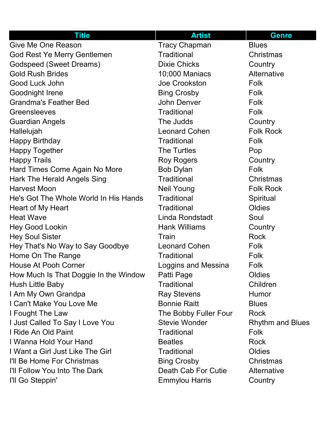| <b>Title</b>                          | <b>Artist</b>         | <b>Genre</b>            |
|---------------------------------------|-----------------------|-------------------------|
| Give Me One Reason                    | <b>Tracy Chapman</b>  | <b>Blues</b>            |
| God Rest Ye Merry Gentlemen           | <b>Traditional</b>    | Christmas               |
| Godspeed (Sweet Dreams)               | <b>Dixie Chicks</b>   | Country                 |
| <b>Gold Rush Brides</b>               | 10;000 Maniacs        | Alternative             |
| Good Luck John                        | Joe Crookston         | Folk                    |
| Goodnight Irene                       | <b>Bing Crosby</b>    | Folk                    |
| <b>Grandma's Feather Bed</b>          | <b>John Denver</b>    | Folk                    |
| Greensleeves                          | <b>Traditional</b>    | Folk                    |
| <b>Guardian Angels</b>                | The Judds             | Country                 |
| Hallelujah                            | <b>Leonard Cohen</b>  | <b>Folk Rock</b>        |
| <b>Happy Birthday</b>                 | <b>Traditional</b>    | Folk                    |
| <b>Happy Together</b>                 | The Turtles           | Pop                     |
| <b>Happy Trails</b>                   | <b>Roy Rogers</b>     | Country                 |
| Hard Times Come Again No More         | <b>Bob Dylan</b>      | Folk                    |
| <b>Hark The Herald Angels Sing</b>    | <b>Traditional</b>    | Christmas               |
| <b>Harvest Moon</b>                   | <b>Neil Young</b>     | <b>Folk Rock</b>        |
| He's Got The Whole World In His Hands | <b>Traditional</b>    | Spiritual               |
| Heart of My Heart                     | <b>Traditional</b>    | Oldies                  |
| <b>Heat Wave</b>                      | Linda Rondstadt       | Soul                    |
| <b>Hey Good Lookin</b>                | <b>Hank Williams</b>  | Country                 |
| <b>Hey Soul Sister</b>                | Train                 | <b>Rock</b>             |
| Hey That's No Way to Say Goodbye      | <b>Leonard Cohen</b>  | Folk                    |
| Home On The Range                     | <b>Traditional</b>    | Folk                    |
| <b>House At Pooh Corner</b>           | Loggins and Messina   | Folk                    |
| How Much Is That Doggie In the Window | Patti Page            | Oldies                  |
| Hush Little Baby                      | <b>Traditional</b>    | Children                |
| I Am My Own Grandpa                   | <b>Ray Stevens</b>    | Humor                   |
| I Can't Make You Love Me              | <b>Bonnie Raitt</b>   | <b>Blues</b>            |
| I Fought The Law                      | The Bobby Fuller Four | Rock                    |
| I Just Called To Say I Love You       | <b>Stevie Wonder</b>  | <b>Rhythm and Blues</b> |
| I Ride An Old Paint                   | <b>Traditional</b>    | Folk                    |
| I Wanna Hold Your Hand                | <b>Beatles</b>        | <b>Rock</b>             |
| I Want a Girl Just Like The Girl      | <b>Traditional</b>    | Oldies                  |
| I'll Be Home For Christmas            | <b>Bing Crosby</b>    | <b>Christmas</b>        |
| I'll Follow You Into The Dark         | Death Cab For Cutie   | Alternative             |
| I'll Go Steppin'                      | <b>Emmylou Harris</b> | Country                 |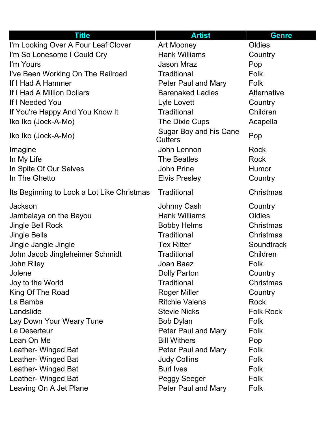| <b>Title</b>                               | <b>Artist</b>                            | <b>Genre</b>     |
|--------------------------------------------|------------------------------------------|------------------|
| I'm Looking Over A Four Leaf Clover        | <b>Art Mooney</b>                        | Oldies           |
| I'm So Lonesome I Could Cry                | <b>Hank Williams</b>                     | Country          |
| I'm Yours                                  | <b>Jason Mraz</b>                        | Pop              |
| I've Been Working On The Railroad          | <b>Traditional</b>                       | Folk             |
| If I Had A Hammer                          | <b>Peter Paul and Mary</b>               | Folk             |
| If I Had A Million Dollars                 | <b>Barenaked Ladies</b>                  | Alternative      |
| If I Needed You                            | Lyle Lovett                              | Country          |
| If You're Happy And You Know It            | <b>Traditional</b>                       | Children         |
| Iko Iko (Jock-A-Mo)                        | The Dixie Cups                           | Acapella         |
| Iko Iko (Jock-A-Mo)                        | Sugar Boy and his Cane<br><b>Cutters</b> | Pop              |
| Imagine                                    | John Lennon                              | <b>Rock</b>      |
| In My Life                                 | <b>The Beatles</b>                       | <b>Rock</b>      |
| In Spite Of Our Selves                     | <b>John Prine</b>                        | Humor            |
| In The Ghetto                              | <b>Elvis Presley</b>                     | Country          |
| Its Beginning to Look a Lot Like Christmas | <b>Traditional</b>                       | Christmas        |
| <b>Jackson</b>                             | Johnny Cash                              | Country          |
| Jambalaya on the Bayou                     | <b>Hank Williams</b>                     | Oldies           |
| <b>Jingle Bell Rock</b>                    | <b>Bobby Helms</b>                       | Christmas        |
| <b>Jingle Bells</b>                        | <b>Traditional</b>                       | Christmas        |
| Jingle Jangle Jingle                       | <b>Tex Ritter</b>                        | Soundtrack       |
| John Jacob Jingleheimer Schmidt            | Traditional                              | Children         |
| <b>John Riley</b>                          | Joan Baez                                | Folk             |
| Jolene                                     | <b>Dolly Parton</b>                      | Country          |
| Joy to the World                           | <b>Traditional</b>                       | Christmas        |
| King Of The Road                           | <b>Roger Miller</b>                      | Country          |
| La Bamba                                   | <b>Ritchie Valens</b>                    | <b>Rock</b>      |
| Landslide                                  | <b>Stevie Nicks</b>                      | <b>Folk Rock</b> |
| Lay Down Your Weary Tune                   | <b>Bob Dylan</b>                         | Folk             |
| Le Deserteur                               | Peter Paul and Mary                      | Folk             |
| Lean On Me                                 | <b>Bill Withers</b>                      | Pop              |
| Leather- Winged Bat                        | <b>Peter Paul and Mary</b>               | Folk             |
| Leather- Winged Bat                        | <b>Judy Collins</b>                      | Folk             |
| Leather- Winged Bat                        | <b>Burl Ives</b>                         | Folk             |
| Leather- Winged Bat                        | Peggy Seeger                             | Folk             |
| Leaving On A Jet Plane                     | <b>Peter Paul and Mary</b>               | Folk             |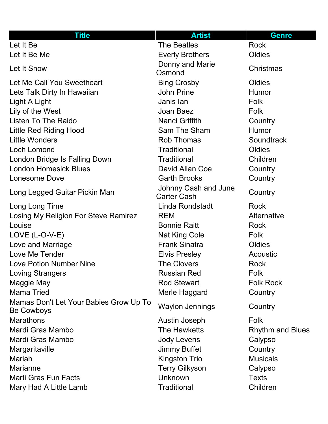| <b>Title</b>                                         | <b>Artist</b>                              | <b>Genre</b>            |
|------------------------------------------------------|--------------------------------------------|-------------------------|
| Let It Be                                            | <b>The Beatles</b>                         | Rock                    |
| Let It Be Me                                         | <b>Everly Brothers</b>                     | Oldies                  |
| Let It Snow                                          | Donny and Marie<br>Osmond                  | Christmas               |
| Let Me Call You Sweetheart                           | <b>Bing Crosby</b>                         | Oldies                  |
| Lets Talk Dirty In Hawaiian                          | <b>John Prine</b>                          | Humor                   |
| Light A Light                                        | Janis lan                                  | Folk                    |
| Lily of the West                                     | Joan Baez                                  | Folk                    |
| <b>Listen To The Raido</b>                           | <b>Nanci Griffith</b>                      | Country                 |
| Little Red Riding Hood                               | Sam The Sham                               | <b>Humor</b>            |
| <b>Little Wonders</b>                                | <b>Rob Thomas</b>                          | Soundtrack              |
| Loch Lomond                                          | <b>Traditional</b>                         | Oldies                  |
| London Bridge Is Falling Down                        | <b>Traditional</b>                         | Children                |
| <b>London Homesick Blues</b>                         | David Allan Coe                            | Country                 |
| Lonesome Dove                                        | <b>Garth Brooks</b>                        | Country                 |
| Long Legged Guitar Pickin Man                        | Johnny Cash and June<br><b>Carter Cash</b> | Country                 |
| Long Long Time                                       | Linda Rondstadt                            | <b>Rock</b>             |
| Losing My Religion For Steve Ramirez                 | <b>REM</b>                                 | Alternative             |
| Louise                                               | <b>Bonnie Raitt</b>                        | <b>Rock</b>             |
| $LOVE$ (L-O-V-E)                                     | <b>Nat King Cole</b>                       | Folk                    |
| Love and Marriage                                    | <b>Frank Sinatra</b>                       | <b>Oldies</b>           |
| Love Me Tender                                       | <b>Elvis Presley</b>                       | Acoustic                |
| <b>Love Potion Number Nine</b>                       | <b>The Clovers</b>                         | Rock                    |
| <b>Loving Strangers</b>                              | <b>Russian Red</b>                         | Folk                    |
| Maggie May                                           | <b>Rod Stewart</b>                         | <b>Folk Rock</b>        |
| <b>Mama Tried</b>                                    | Merle Haggard                              | Country                 |
| Mamas Don't Let Your Babies Grow Up To<br>Be Cowboys | <b>Waylon Jennings</b>                     | Country                 |
| <b>Marathons</b>                                     | Austin Joseph                              | Folk                    |
| Mardi Gras Mambo                                     | The Hawketts                               | <b>Rhythm and Blues</b> |
| Mardi Gras Mambo                                     | <b>Jody Levens</b>                         | Calypso                 |
| Margaritaville                                       | <b>Jimmy Buffet</b>                        | Country                 |
| <b>Mariah</b>                                        | <b>Kingston Trio</b>                       | <b>Musicals</b>         |
| <b>Marianne</b>                                      | <b>Terry Gilkyson</b>                      | Calypso                 |
| <b>Marti Gras Fun Facts</b>                          | Unknown                                    | <b>Texts</b>            |
| Mary Had A Little Lamb                               | <b>Traditional</b>                         | Children                |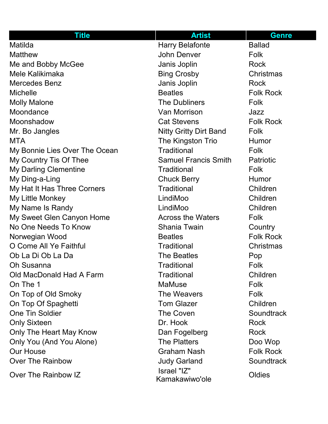| <b>Title</b>                  | <b>Artist</b>                 | <b>Genre</b>     |
|-------------------------------|-------------------------------|------------------|
| Matilda                       | <b>Harry Belafonte</b>        | <b>Ballad</b>    |
| <b>Matthew</b>                | <b>John Denver</b>            | Folk             |
| Me and Bobby McGee            | Janis Joplin                  | <b>Rock</b>      |
| Mele Kalikimaka               | <b>Bing Crosby</b>            | Christmas        |
| <b>Mercedes Benz</b>          | Janis Joplin                  | <b>Rock</b>      |
| <b>Michelle</b>               | <b>Beatles</b>                | <b>Folk Rock</b> |
| <b>Molly Malone</b>           | <b>The Dubliners</b>          | Folk             |
| Moondance                     | Van Morrison                  | Jazz             |
| Moonshadow                    | <b>Cat Stevens</b>            | <b>Folk Rock</b> |
| Mr. Bo Jangles                | <b>Nitty Gritty Dirt Band</b> | Folk             |
| <b>MTA</b>                    | The Kingston Trio             | Humor            |
| My Bonnie Lies Over The Ocean | <b>Traditional</b>            | Folk             |
| My Country Tis Of Thee        | <b>Samuel Francis Smith</b>   | <b>Patriotic</b> |
| <b>My Darling Clementine</b>  | <b>Traditional</b>            | Folk             |
| My Ding-a-Ling                | <b>Chuck Berry</b>            | Humor            |
| My Hat It Has Three Corners   | <b>Traditional</b>            | Children         |
| My Little Monkey              | LindiMoo                      | Children         |
| My Name Is Randy              | LindiMoo                      | Children         |
| My Sweet Glen Canyon Home     | <b>Across the Waters</b>      | Folk             |
| No One Needs To Know          | Shania Twain                  | Country          |
| Norwegian Wood                | <b>Beatles</b>                | <b>Folk Rock</b> |
| O Come All Ye Faithful        | <b>Traditional</b>            | Christmas        |
| Ob La Di Ob La Da             | <b>The Beatles</b>            | Pop              |
| <b>Oh Susanna</b>             | <b>Traditional</b>            | Folk             |
| Old MacDonald Had A Farm      | <b>Traditional</b>            | Children         |
| On The 1                      | <b>MaMuse</b>                 | <b>Folk</b>      |
| On Top of Old Smoky           | The Weavers                   | Folk             |
| On Top Of Spaghetti           | <b>Tom Glazer</b>             | Children         |
| <b>One Tin Soldier</b>        | <b>The Coven</b>              | Soundtrack       |
| <b>Only Sixteen</b>           | Dr. Hook                      | <b>Rock</b>      |
| Only The Heart May Know       | Dan Fogelberg                 | <b>Rock</b>      |
| Only You (And You Alone)      | <b>The Platters</b>           | Doo Wop          |
| <b>Our House</b>              | <b>Graham Nash</b>            | <b>Folk Rock</b> |
| <b>Over The Rainbow</b>       | <b>Judy Garland</b>           | Soundtrack       |
| Over The Rainbow IZ           | Israel "IZ"<br>Kamakawiwo'ole | Oldies           |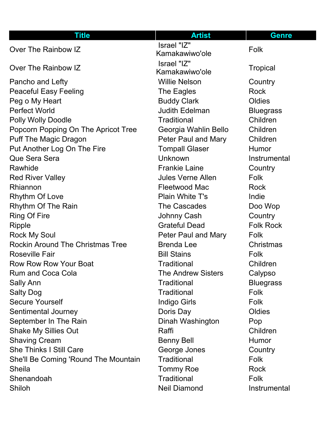| <b>Title</b>                            | <b>Artist</b>                 | <b>Genre</b>     |
|-----------------------------------------|-------------------------------|------------------|
| Over The Rainbow IZ                     | Israel "IZ"<br>Kamakawiwo'ole | Folk             |
| Over The Rainbow IZ                     | Israel "IZ"<br>Kamakawiwo'ole | <b>Tropical</b>  |
| Pancho and Lefty                        | <b>Willie Nelson</b>          | Country          |
| <b>Peaceful Easy Feeling</b>            | The Eagles                    | <b>Rock</b>      |
| Peg o My Heart                          | <b>Buddy Clark</b>            | Oldies           |
| <b>Perfect World</b>                    | <b>Judith Edelman</b>         | <b>Bluegrass</b> |
| <b>Polly Wolly Doodle</b>               | <b>Traditional</b>            | Children         |
| Popcorn Popping On The Apricot Tree     | Georgia Wahlin Bello          | Children         |
| <b>Puff The Magic Dragon</b>            | <b>Peter Paul and Mary</b>    | Children         |
| Put Another Log On The Fire             | <b>Tompall Glaser</b>         | Humor            |
| Que Sera Sera                           | Unknown                       | Instrumental     |
| Rawhide                                 | <b>Frankie Laine</b>          | Country          |
| <b>Red River Valley</b>                 | <b>Jules Verne Allen</b>      | Folk             |
| Rhiannon                                | <b>Fleetwood Mac</b>          | <b>Rock</b>      |
| <b>Rhythm Of Love</b>                   | <b>Plain White T's</b>        | Indie            |
| <b>Rhythm Of The Rain</b>               | <b>The Cascades</b>           | Doo Wop          |
| <b>Ring Of Fire</b>                     | Johnny Cash                   | Country          |
| <b>Ripple</b>                           | <b>Grateful Dead</b>          | <b>Folk Rock</b> |
| <b>Rock My Soul</b>                     | Peter Paul and Mary           | Folk             |
| <b>Rockin Around The Christmas Tree</b> | <b>Brenda Lee</b>             | Christmas        |
| <b>Roseville Fair</b>                   | <b>Bill Stains</b>            | Folk             |
| <b>Row Row Row Your Boat</b>            | <b>Traditional</b>            | Children         |
| <b>Rum and Coca Cola</b>                | <b>The Andrew Sisters</b>     | Calypso          |
| <b>Sally Ann</b>                        | <b>Traditional</b>            | <b>Bluegrass</b> |
| <b>Salty Dog</b>                        | <b>Traditional</b>            | <b>Folk</b>      |
| <b>Secure Yourself</b>                  | <b>Indigo Girls</b>           | Folk             |
| Sentimental Journey                     | Doris Day                     | Oldies           |
| September In The Rain                   | Dinah Washington              | Pop              |
| <b>Shake My Sillies Out</b>             | Raffi                         | Children         |
| <b>Shaving Cream</b>                    | <b>Benny Bell</b>             | <b>Humor</b>     |
| <b>She Thinks I Still Care</b>          | George Jones                  | Country          |
| She'll Be Coming 'Round The Mountain    | <b>Traditional</b>            | <b>Folk</b>      |
| <b>Sheila</b>                           | <b>Tommy Roe</b>              | Rock             |
| Shenandoah                              | <b>Traditional</b>            | Folk             |
| Shiloh                                  | <b>Neil Diamond</b>           | Instrumental     |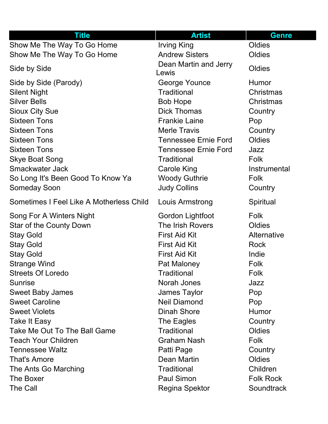| <b>Title</b>                             | <b>Artist</b>                  | <b>Genre</b>     |
|------------------------------------------|--------------------------------|------------------|
| Show Me The Way To Go Home               | <b>Irving King</b>             | Oldies           |
| Show Me The Way To Go Home               | <b>Andrew Sisters</b>          | Oldies           |
| Side by Side                             | Dean Martin and Jerry<br>Lewis | Oldies           |
| Side by Side (Parody)                    | George Younce                  | Humor            |
| <b>Silent Night</b>                      | <b>Traditional</b>             | Christmas        |
| <b>Silver Bells</b>                      | <b>Bob Hope</b>                | Christmas        |
| <b>Sioux City Sue</b>                    | <b>Dick Thomas</b>             | Country          |
| <b>Sixteen Tons</b>                      | <b>Frankie Laine</b>           | Pop              |
| <b>Sixteen Tons</b>                      | <b>Merle Travis</b>            | Country          |
| <b>Sixteen Tons</b>                      | <b>Tennessee Ernie Ford</b>    | Oldies           |
| <b>Sixteen Tons</b>                      | <b>Tennessee Ernie Ford</b>    | Jazz             |
| <b>Skye Boat Song</b>                    | <b>Traditional</b>             | Folk             |
| <b>Smackwater Jack</b>                   | <b>Carole King</b>             | Instrumental     |
| So Long It's Been Good To Know Ya        | <b>Woody Guthrie</b>           | Folk             |
| <b>Someday Soon</b>                      | <b>Judy Collins</b>            | Country          |
| Sometimes I Feel Like A Motherless Child | Louis Armstrong                | Spiritual        |
| Song For A Winters Night                 | Gordon Lightfoot               | Folk             |
| <b>Star of the County Down</b>           | The Irish Rovers               | Oldies           |
| <b>Stay Gold</b>                         | <b>First Aid Kit</b>           | Alternative      |
| <b>Stay Gold</b>                         | <b>First Aid Kit</b>           | <b>Rock</b>      |
| <b>Stay Gold</b>                         | <b>First Aid Kit</b>           | Indie            |
| <b>Strange Wind</b>                      | Pat Maloney                    | Folk             |
| <b>Streets Of Loredo</b>                 | <b>Traditional</b>             | Folk             |
| <b>Sunrise</b>                           | Norah Jones                    | Jazz             |
| <b>Sweet Baby James</b>                  | <b>James Taylor</b>            | Pop              |
| <b>Sweet Caroline</b>                    | <b>Neil Diamond</b>            | Pop              |
| <b>Sweet Violets</b>                     | <b>Dinah Shore</b>             | <b>Humor</b>     |
| Take It Easy                             | The Eagles                     | Country          |
| Take Me Out To The Ball Game             | <b>Traditional</b>             | Oldies           |
| <b>Teach Your Children</b>               | <b>Graham Nash</b>             | Folk             |
| <b>Tennessee Waltz</b>                   | Patti Page                     | Country          |
| <b>That's Amore</b>                      | Dean Martin                    | Oldies           |
| The Ants Go Marching                     | <b>Traditional</b>             | Children         |
| The Boxer                                | <b>Paul Simon</b>              | <b>Folk Rock</b> |
| The Call                                 | <b>Regina Spektor</b>          | Soundtrack       |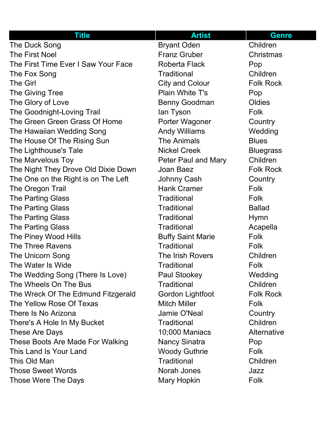| <b>Title</b>                        | <b>Artist</b>            | <b>Genre</b>     |
|-------------------------------------|--------------------------|------------------|
| The Duck Song                       | <b>Bryant Oden</b>       | Children         |
| <b>The First Noel</b>               | <b>Franz Gruber</b>      | Christmas        |
| The First Time Ever I Saw Your Face | <b>Roberta Flack</b>     | Pop              |
| The Fox Song                        | <b>Traditional</b>       | Children         |
| <b>The Girl</b>                     | <b>City and Colour</b>   | <b>Folk Rock</b> |
| The Giving Tree                     | <b>Plain White T's</b>   | Pop              |
| The Glory of Love                   | <b>Benny Goodman</b>     | Oldies           |
| The Goodnight-Loving Trail          | lan Tyson                | <b>Folk</b>      |
| The Green Green Grass Of Home       | Porter Wagoner           | Country          |
| The Hawaiian Wedding Song           | <b>Andy Williams</b>     | Wedding          |
| The House Of The Rising Sun         | <b>The Animals</b>       | <b>Blues</b>     |
| The Lighthouse's Tale               | <b>Nickel Creek</b>      | <b>Bluegrass</b> |
| The Marvelous Toy                   | Peter Paul and Mary      | Children         |
| The Night They Drove Old Dixie Down | Joan Baez                | <b>Folk Rock</b> |
| The One on the Right is on The Left | Johnny Cash              | Country          |
| The Oregon Trail                    | <b>Hank Cramer</b>       | Folk             |
| <b>The Parting Glass</b>            | <b>Traditional</b>       | <b>Folk</b>      |
| <b>The Parting Glass</b>            | <b>Traditional</b>       | <b>Ballad</b>    |
| <b>The Parting Glass</b>            | <b>Traditional</b>       | <b>Hymn</b>      |
| <b>The Parting Glass</b>            | <b>Traditional</b>       | Acapella         |
| The Piney Wood Hills                | <b>Buffy Saint Marie</b> | <b>Folk</b>      |
| The Three Ravens                    | <b>Traditional</b>       | Folk             |
| The Unicorn Song                    | The Irish Rovers         | Children         |
| The Water Is Wide                   | <b>Traditional</b>       | Folk             |
| The Wedding Song (There Is Love)    | <b>Paul Stookey</b>      | Wedding          |
| The Wheels On The Bus               | <b>Traditional</b>       | Children         |
| The Wreck Of The Edmund Fitzgerald  | Gordon Lightfoot         | <b>Folk Rock</b> |
| The Yellow Rose Of Texas            | <b>Mitch Miller</b>      | Folk             |
| There Is No Arizona                 | Jamie O'Neal             | Country          |
| There's A Hole In My Bucket         | <b>Traditional</b>       | Children         |
| These Are Days                      | 10;000 Maniacs           | Alternative      |
| These Boots Are Made For Walking    | <b>Nancy Sinatra</b>     | Pop              |
| This Land Is Your Land              | <b>Woody Guthrie</b>     | Folk             |
| This Old Man                        | <b>Traditional</b>       | Children         |
| <b>Those Sweet Words</b>            | Norah Jones              | Jazz             |
| Those Were The Days                 | Mary Hopkin              | Folk             |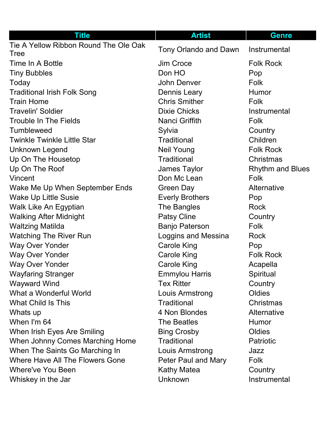| <b>Title</b>                                         | <b>Artist</b>          | <b>Genre</b>            |
|------------------------------------------------------|------------------------|-------------------------|
| Tie A Yellow Ribbon Round The Ole Oak<br><b>Tree</b> | Tony Orlando and Dawn  | Instrumental            |
| Time In A Bottle                                     | Jim Croce              | <b>Folk Rock</b>        |
| <b>Tiny Bubbles</b>                                  | Don HO                 | Pop                     |
| Today                                                | John Denver            | Folk                    |
| <b>Traditional Irish Folk Song</b>                   | <b>Dennis Leary</b>    | <b>Humor</b>            |
| <b>Train Home</b>                                    | <b>Chris Smither</b>   | Folk                    |
| <b>Travelin' Soldier</b>                             | <b>Dixie Chicks</b>    | Instrumental            |
| <b>Trouble In The Fields</b>                         | Nanci Griffith         | Folk                    |
| <b>Tumbleweed</b>                                    | Sylvia                 | Country                 |
| <b>Twinkle Twinkle Little Star</b>                   | <b>Traditional</b>     | Children                |
| <b>Unknown Legend</b>                                | <b>Neil Young</b>      | <b>Folk Rock</b>        |
| Up On The Housetop                                   | <b>Traditional</b>     | Christmas               |
| Up On The Roof                                       | James Taylor           | <b>Rhythm and Blues</b> |
| Vincent                                              | Don Mc Lean            | Folk                    |
| Wake Me Up When September Ends                       | Green Day              | Alternative             |
| <b>Wake Up Little Susie</b>                          | <b>Everly Brothers</b> | Pop                     |
| Walk Like An Egyptian                                | The Bangles            | <b>Rock</b>             |
| <b>Walking After Midnight</b>                        | <b>Patsy Cline</b>     | Country                 |
| <b>Waltzing Matilda</b>                              | <b>Banjo Paterson</b>  | <b>Folk</b>             |
| <b>Watching The River Run</b>                        | Loggins and Messina    | <b>Rock</b>             |
| <b>Way Over Yonder</b>                               | <b>Carole King</b>     | Pop                     |
| <b>Way Over Yonder</b>                               | <b>Carole King</b>     | <b>Folk Rock</b>        |
| <b>Way Over Yonder</b>                               | <b>Carole King</b>     | Acapella                |
| <b>Wayfaring Stranger</b>                            | <b>Emmylou Harris</b>  | Spiritual               |
| <b>Wayward Wind</b>                                  | <b>Tex Ritter</b>      | Country                 |
| What a Wonderful World                               | Louis Armstrong        | Oldies                  |
| <b>What Child Is This</b>                            | <b>Traditional</b>     | Christmas               |
| Whats up                                             | 4 Non Blondes          | Alternative             |
| When I'm 64                                          | <b>The Beatles</b>     | Humor                   |
| When Irish Eyes Are Smiling                          | <b>Bing Crosby</b>     | Oldies                  |
| When Johnny Comes Marching Home                      | <b>Traditional</b>     | <b>Patriotic</b>        |
| When The Saints Go Marching In                       | Louis Armstrong        | Jazz                    |
| Where Have All The Flowers Gone                      | Peter Paul and Mary    | Folk                    |
| Where've You Been                                    | <b>Kathy Matea</b>     | Country                 |
| Whiskey in the Jar                                   | Unknown                | Instrumental            |